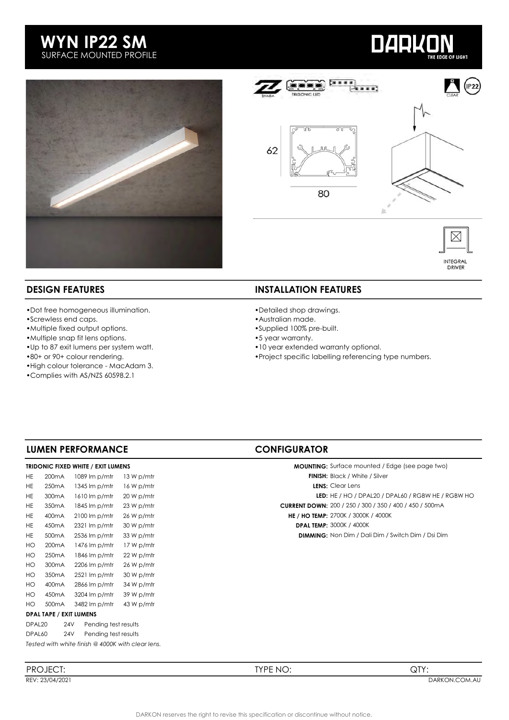# WYN IP22 SM SURFACE MOUNTED PROFILE





**DARKON** 



**E OF LIGHT** 

- •Dot free homogeneous illumination.
- •Screwless end caps.
- •Multiple fixed output options.
- •Multiple snap fit lens options.
- •Up to 87 exit lumens per system watt.
- •80+ or 90+ colour rendering.
- •High colour tolerance MacAdam 3.
- •Complies with AS/NZS 60598.2.1

### **DESIGN FEATURES** INSTALLATION FEATURES

- •Detailed shop drawings.
- •Australian made.
- •Supplied 100% pre-built.
- •5 year warranty.
- •10 year extended warranty optional.
- •Project specific labelling referencing type numbers.

## LUMEN PERFORMANCE CONFIGURATOR

#### TRIDONIC FIXED WHITE / EXIT LUMENS

| HE.                | 200 <sub>m</sub> A             |  | $1089 \, \text{Im } p/\text{m}$ tr | 13 W p/mtr                                        | <b>FINISH:</b> Black / White / Silver        |
|--------------------|--------------------------------|--|------------------------------------|---------------------------------------------------|----------------------------------------------|
| HE.                | 250 <sub>m</sub> A             |  | $1345 \mathrm{Im} p/mtr$           | 16 W p/mtr                                        | <b>LENS:</b> Clear Lens                      |
| HE.                | 300 <sub>m</sub> A             |  | 1610 lm p/mtr                      | 20 W p/mtr                                        | LED: $HE / HO / DPAL20 / DF$                 |
| HE.                | 350 <sub>m</sub> A             |  | 1845 lm p/mtr                      | 23 W p/mtr                                        | <b>CURRENT DOWN: 200 / 250 / 300 / 350 /</b> |
| HE.                | 400 <sub>m</sub> A             |  | $2100 \, \text{Im } p/\text{m}$    | 26 W p/mtr                                        | <b>HE / HO TEMP: 2700K / 3000K / 4000K</b>   |
| HE.                | 450 <sub>m</sub> A             |  | $2321 \text{ Im } p/\text{m}$      | 30 W p/mtr                                        | <b>DPAL TEMP: 3000K / 4000K</b>              |
| HE.                | 500 <sub>m</sub> A             |  | 2536 lm p/mtr                      | 33 W p/mtr                                        | <b>DIMMING:</b> Non Dim / Dali Dim / S       |
| HO                 | 200 <sub>m</sub> A             |  | 1476 lm p/mtr                      | 17 W p/mtr                                        |                                              |
| HO                 | 250 <sub>m</sub> A             |  | $1846 \mathrm{Im} p/mtr$           | 22 W p/mtr                                        |                                              |
| HO                 | 300 <sub>m</sub> A             |  | $2206 \text{ Im } p/\text{m}$ tr   | 26 W p/mtr                                        |                                              |
| HO                 | 350 <sub>m</sub> A             |  | $2521 \text{ Im } p/\text{m}$      | 30 W p/mtr                                        |                                              |
| HO                 | 400 <sub>m</sub> A             |  | 2866 lm p/mtr                      | 34 W p/mtr                                        |                                              |
| HO                 | 450 <sub>m</sub> A             |  | 3204 lm p/mtr                      | 39 W p/mtr                                        |                                              |
| HO.                | 500 <sub>m</sub> A             |  | 3482 lm p/mtr                      | 43 W p/mtr                                        |                                              |
|                    | <b>DPAL TAPE / EXIT LUMENS</b> |  |                                    |                                                   |                                              |
| DPAL <sub>20</sub> | 24 <sub>V</sub>                |  | Pending test results               |                                                   |                                              |
|                    | DPAL60<br>24V                  |  | Pending test results               |                                                   |                                              |
|                    |                                |  |                                    | Tested with white finish @ 4000K with clear lens. |                                              |

| <b>MOUNTING:</b> Surface mounted / Edge (see page two)  |
|---------------------------------------------------------|
| <b>FINISH:</b> Black / White / Silver                   |
| <b>LENS:</b> Clear Lens                                 |
| LED: HE / HO / DPAL20 / DPAL60 / RGBW HE / RGBW HO      |
| CURRENT DOWN: 200 / 250 / 300 / 350 / 400 / 450 / 500mA |

DIMMING: Non Dim / Dali Dim / Switch Dim / Dsi Dim

PROJECT: TYPE NO: QTY: REV: 23/04/2021 DARKON.COM.AU BEREV: 23/04/2021